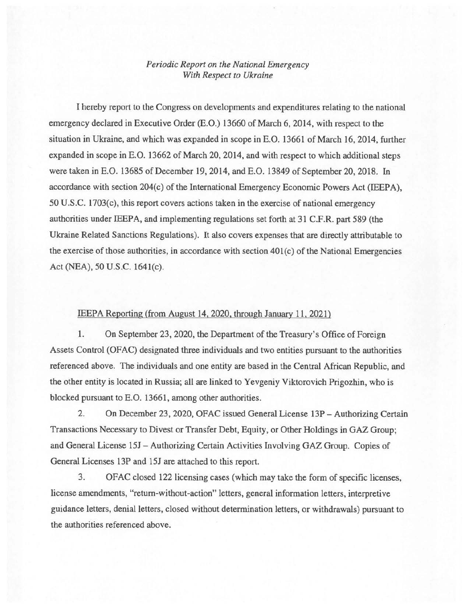## *Periodic Report on the National Emergency With Respect to Ukraine*

I hereby report to the Congress on developments and expenditures relating to the national emergency declared in Executive Order (E.O.) 13660 of March 6, 2014, with respect to the situation in Ukraine, and which was expanded in scope in E.O. 13661 of March 16,2014, further expanded in scope in E.O. 13662 of March 20,2014, and with respect to which additional steps were taken in E.O. 13685 of December 19, 2014, and E.O. 13849 of September 20, 2018. In accordance with section 204(c) of the International Emergency Economic Powers Act (IEEPA), 50 U.S.C. 1703(c), this report covers actions taken in the exercise of national emergency authorities under IEEPA, and implementing regulations set forth at 31 C.F.R. part 589 (the Ukraine Related Sanctions Regulations). It also covers expenses that are directly attributable to the exercise of those authorities, in accordance with section 401 (c) of the National Emergencies Act (NEA), 50 U.S.C. 1641(c).

## IEEPA Reporting (from August 14, 2020, through January 11, 2021)

1. On September 23, 2020, the Department of the Treasury's Office of Foreign Assets Control (OFAC) designated three individuals and two entities pursuant to the authorities referenced above. The individuals and one entity are based in the Central African Republic, and the other entity is located in Russia; all are linked to Yevgeniy Viktorovich Prigozhin, who is blocked pursuant to E.O. 13661, among other authorities.

2. On December 23, 2020, OFAC issued General License 13P- Authorizing Certain Transactions Necessary to Divest or Transfer Debt, Equity, or Other Holdings in GAZ Group; and General License 15J- Authorizing Certain Activities Involving GAZ Group. Copies of General Licenses 13P and 15J are attached to this report.

3. OFAC closed 122 licensing cases (which may take the form of specific licenses, license amendments, "return-without-action" letters, general information letters, interpretive guidance letters, denial letters, closed without determination letters, or withdrawals) pursuant to the authorities referenced above.